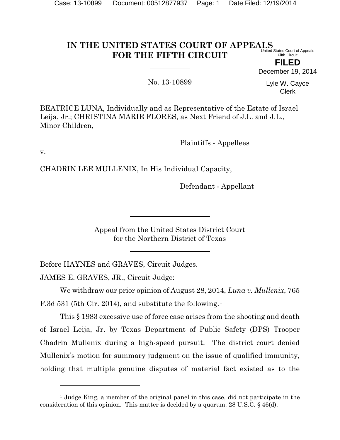#### **IN THE UNITED STATES COURT OF APPEALS FOR THE FIFTH CIRCUIT** United States Court of Appeals Fifth Circuit

**FILED**

December 19, 2014

No. 13-10899

Lyle W. Cayce Clerk

BEATRICE LUNA, Individually and as Representative of the Estate of Israel Leija, Jr.; CHRISTINA MARIE FLORES, as Next Friend of J.L. and J.L., Minor Children,

Plaintiffs - Appellees

v.

 $\overline{a}$ 

CHADRIN LEE MULLENIX, In His Individual Capacity,

Defendant - Appellant

Appeal from the United States District Court for the Northern District of Texas

Before HAYNES and GRAVES, Circuit Judges.

JAMES E. GRAVES, JR., Circuit Judge:

We withdraw our prior opinion of August 28, 2014, *Luna v. Mullenix*, 765 F.3d 53[1](#page-0-0) (5th Cir. 2014), and substitute the following.<sup>1</sup>

This § 1983 excessive use of force case arises from the shooting and death of Israel Leija, Jr. by Texas Department of Public Safety (DPS) Trooper Chadrin Mullenix during a high-speed pursuit. The district court denied Mullenix's motion for summary judgment on the issue of qualified immunity, holding that multiple genuine disputes of material fact existed as to the

<span id="page-0-0"></span><sup>&</sup>lt;sup>1</sup> Judge King, a member of the original panel in this case, did not participate in the consideration of this opinion. This matter is decided by a quorum. 28 U.S.C. § 46(d).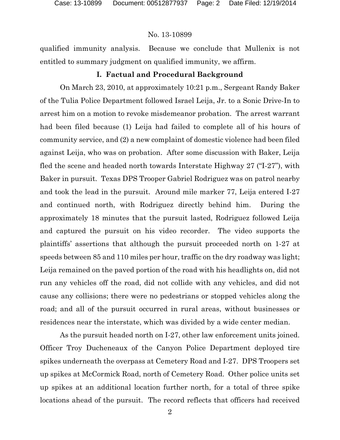qualified immunity analysis. Because we conclude that Mullenix is not entitled to summary judgment on qualified immunity, we affirm.

# **I. Factual and Procedural Background**

On March 23, 2010, at approximately 10:21 p.m., Sergeant Randy Baker of the Tulia Police Department followed Israel Leija, Jr. to a Sonic Drive-In to arrest him on a motion to revoke misdemeanor probation. The arrest warrant had been filed because (1) Leija had failed to complete all of his hours of community service, and (2) a new complaint of domestic violence had been filed against Leija, who was on probation. After some discussion with Baker, Leija fled the scene and headed north towards Interstate Highway 27 ("I-27"), with Baker in pursuit. Texas DPS Trooper Gabriel Rodriguez was on patrol nearby and took the lead in the pursuit. Around mile marker 77, Leija entered I-27 and continued north, with Rodriguez directly behind him. During the approximately 18 minutes that the pursuit lasted, Rodriguez followed Leija and captured the pursuit on his video recorder. The video supports the plaintiffs' assertions that although the pursuit proceeded north on 1-27 at speeds between 85 and 110 miles per hour, traffic on the dry roadway was light; Leija remained on the paved portion of the road with his headlights on, did not run any vehicles off the road, did not collide with any vehicles, and did not cause any collisions; there were no pedestrians or stopped vehicles along the road; and all of the pursuit occurred in rural areas, without businesses or residences near the interstate, which was divided by a wide center median.

As the pursuit headed north on I-27, other law enforcement units joined. Officer Troy Ducheneaux of the Canyon Police Department deployed tire spikes underneath the overpass at Cemetery Road and I-27. DPS Troopers set up spikes at McCormick Road, north of Cemetery Road. Other police units set up spikes at an additional location further north, for a total of three spike locations ahead of the pursuit. The record reflects that officers had received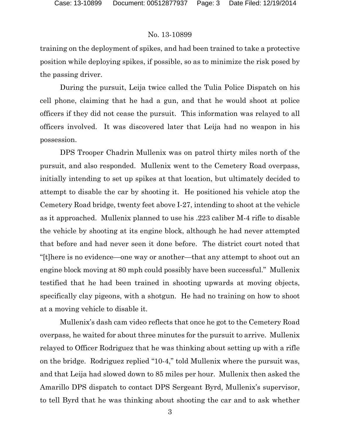training on the deployment of spikes, and had been trained to take a protective position while deploying spikes, if possible, so as to minimize the risk posed by the passing driver.

During the pursuit, Leija twice called the Tulia Police Dispatch on his cell phone, claiming that he had a gun, and that he would shoot at police officers if they did not cease the pursuit. This information was relayed to all officers involved. It was discovered later that Leija had no weapon in his possession.

DPS Trooper Chadrin Mullenix was on patrol thirty miles north of the pursuit, and also responded. Mullenix went to the Cemetery Road overpass, initially intending to set up spikes at that location, but ultimately decided to attempt to disable the car by shooting it. He positioned his vehicle atop the Cemetery Road bridge, twenty feet above I-27, intending to shoot at the vehicle as it approached. Mullenix planned to use his .223 caliber M-4 rifle to disable the vehicle by shooting at its engine block, although he had never attempted that before and had never seen it done before. The district court noted that "[t]here is no evidence—one way or another—that any attempt to shoot out an engine block moving at 80 mph could possibly have been successful." Mullenix testified that he had been trained in shooting upwards at moving objects, specifically clay pigeons, with a shotgun. He had no training on how to shoot at a moving vehicle to disable it.

Mullenix's dash cam video reflects that once he got to the Cemetery Road overpass, he waited for about three minutes for the pursuit to arrive. Mullenix relayed to Officer Rodriguez that he was thinking about setting up with a rifle on the bridge. Rodriguez replied "10-4," told Mullenix where the pursuit was, and that Leija had slowed down to 85 miles per hour. Mullenix then asked the Amarillo DPS dispatch to contact DPS Sergeant Byrd, Mullenix's supervisor, to tell Byrd that he was thinking about shooting the car and to ask whether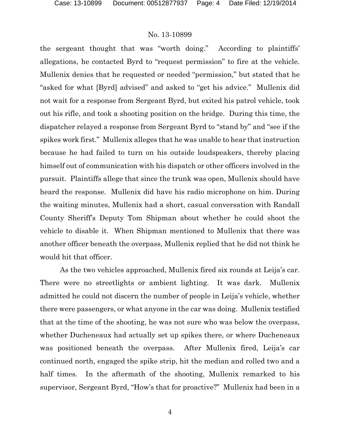the sergeant thought that was "worth doing." According to plaintiffs' allegations, he contacted Byrd to "request permission" to fire at the vehicle. Mullenix denies that he requested or needed "permission," but stated that he "asked for what [Byrd] advised" and asked to "get his advice." Mullenix did not wait for a response from Sergeant Byrd, but exited his patrol vehicle, took out his rifle, and took a shooting position on the bridge. During this time, the dispatcher relayed a response from Sergeant Byrd to "stand by" and "see if the spikes work first." Mullenix alleges that he was unable to hear that instruction because he had failed to turn on his outside loudspeakers, thereby placing himself out of communication with his dispatch or other officers involved in the pursuit. Plaintiffs allege that since the trunk was open, Mullenix should have heard the response. Mullenix did have his radio microphone on him. During the waiting minutes, Mullenix had a short, casual conversation with Randall County Sheriff's Deputy Tom Shipman about whether he could shoot the vehicle to disable it. When Shipman mentioned to Mullenix that there was another officer beneath the overpass, Mullenix replied that he did not think he would hit that officer.

As the two vehicles approached, Mullenix fired six rounds at Leija's car. There were no streetlights or ambient lighting. It was dark. Mullenix admitted he could not discern the number of people in Leija's vehicle, whether there were passengers, or what anyone in the car was doing. Mullenix testified that at the time of the shooting, he was not sure who was below the overpass, whether Ducheneaux had actually set up spikes there, or where Ducheneaux was positioned beneath the overpass. After Mullenix fired, Leija's car continued north, engaged the spike strip, hit the median and rolled two and a half times. In the aftermath of the shooting, Mullenix remarked to his supervisor, Sergeant Byrd, "How's that for proactive?" Mullenix had been in a

4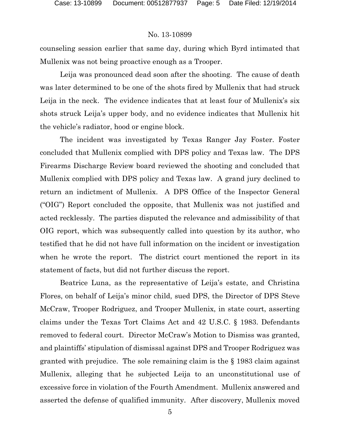counseling session earlier that same day, during which Byrd intimated that Mullenix was not being proactive enough as a Trooper.

Leija was pronounced dead soon after the shooting. The cause of death was later determined to be one of the shots fired by Mullenix that had struck Leija in the neck. The evidence indicates that at least four of Mullenix's six shots struck Leija's upper body, and no evidence indicates that Mullenix hit the vehicle's radiator, hood or engine block.

The incident was investigated by Texas Ranger Jay Foster. Foster concluded that Mullenix complied with DPS policy and Texas law. The DPS Firearms Discharge Review board reviewed the shooting and concluded that Mullenix complied with DPS policy and Texas law. A grand jury declined to return an indictment of Mullenix. A DPS Office of the Inspector General ("OIG") Report concluded the opposite, that Mullenix was not justified and acted recklessly. The parties disputed the relevance and admissibility of that OIG report, which was subsequently called into question by its author, who testified that he did not have full information on the incident or investigation when he wrote the report. The district court mentioned the report in its statement of facts, but did not further discuss the report.

Beatrice Luna, as the representative of Leija's estate, and Christina Flores, on behalf of Leija's minor child, sued DPS, the Director of DPS Steve McCraw, Trooper Rodriguez, and Trooper Mullenix, in state court, asserting claims under the Texas Tort Claims Act and 42 U.S.C. § 1983. Defendants removed to federal court. Director McCraw's Motion to Dismiss was granted, and plaintiffs' stipulation of dismissal against DPS and Trooper Rodriguez was granted with prejudice. The sole remaining claim is the § 1983 claim against Mullenix, alleging that he subjected Leija to an unconstitutional use of excessive force in violation of the Fourth Amendment. Mullenix answered and asserted the defense of qualified immunity. After discovery, Mullenix moved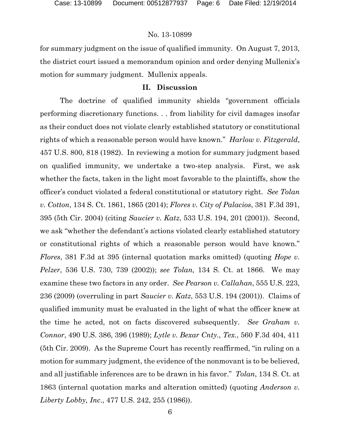for summary judgment on the issue of qualified immunity. On August 7, 2013, the district court issued a memorandum opinion and order denying Mullenix's motion for summary judgment. Mullenix appeals.

# **II. Discussion**

The doctrine of qualified immunity shields "government officials performing discretionary functions. . . from liability for civil damages insofar as their conduct does not violate clearly established statutory or constitutional rights of which a reasonable person would have known." *Harlow v. Fitzgerald*, 457 U.S. 800, 818 (1982). In reviewing a motion for summary judgment based on qualified immunity, we undertake a two-step analysis. First, we ask whether the facts, taken in the light most favorable to the plaintiffs, show the officer's conduct violated a federal constitutional or statutory right. *See Tolan v. Cotton*, 134 S. Ct. 1861, 1865 (2014); *Flores v. City of Palacios*, 381 F.3d 391, 395 (5th Cir. 2004) (citing *Saucier v. Katz*, 533 U.S. 194, 201 (2001)). Second, we ask "whether the defendant's actions violated clearly established statutory or constitutional rights of which a reasonable person would have known." *Flores*, 381 F.3d at 395 (internal quotation marks omitted) (quoting *Hope v. Pelzer*, 536 U.S. 730, 739 (2002)); *see Tolan,* 134 S. Ct. at 1866. We may examine these two factors in any order. *See Pearson v. Callahan*, 555 U.S. 223, 236 (2009) (overruling in part *Saucier v. Katz*, 553 U.S. 194 (2001)). Claims of qualified immunity must be evaluated in the light of what the officer knew at the time he acted, not on facts discovered subsequently. *See Graham v. Connor*, 490 U.S. 386, 396 (1989); *Lytle v. Bexar Cnty., Tex.*, 560 F.3d 404, 411 (5th Cir. 2009). As the Supreme Court has recently reaffirmed, "in ruling on a motion for summary judgment, the evidence of the nonmovant is to be believed, and all justifiable inferences are to be drawn in his favor." *Tolan*, 134 S. Ct. at 1863 (internal quotation marks and alteration omitted) (quoting *Anderson v. Liberty Lobby, Inc*., 477 U.S. 242, 255 (1986)).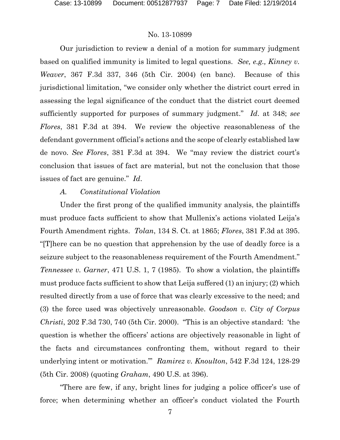Our jurisdiction to review a denial of a motion for summary judgment based on qualified immunity is limited to legal questions. *See, e.g., Kinney v. Weaver*, 367 F.3d 337, 346 (5th Cir. 2004) (en banc). Because of this jurisdictional limitation, "we consider only whether the district court erred in assessing the legal significance of the conduct that the district court deemed sufficiently supported for purposes of summary judgment." *Id*. at 348; *see Flores*, 381 F.3d at 394. We review the objective reasonableness of the defendant government official's actions and the scope of clearly established law de novo. *See Flores*, 381 F.3d at 394. We "may review the district court's conclusion that issues of fact are material, but not the conclusion that those issues of fact are genuine." *Id*.

# *A. Constitutional Violation*

Under the first prong of the qualified immunity analysis, the plaintiffs must produce facts sufficient to show that Mullenix's actions violated Leija's Fourth Amendment rights. *Tolan*, 134 S. Ct. at 1865; *Flores*, 381 F.3d at 395. "[T]here can be no question that apprehension by the use of deadly force is a seizure subject to the reasonableness requirement of the Fourth Amendment." *Tennessee v. Garner*, 471 U.S. 1, 7 (1985). To show a violation, the plaintiffs must produce facts sufficient to show that Leija suffered (1) an injury; (2) which resulted directly from a use of force that was clearly excessive to the need; and (3) the force used was objectively unreasonable. *Goodson v. City of Corpus Christi*, 202 F.3d 730, 740 (5th Cir. 2000). "This is an objective standard: 'the question is whether the officers' actions are objectively reasonable in light of the facts and circumstances confronting them, without regard to their underlying intent or motivation.'" *Ramirez v. Knoulton*, 542 F.3d 124, 128-29 (5th Cir. 2008) (quoting *Graham*, 490 U.S. at 396).

"There are few, if any, bright lines for judging a police officer's use of force; when determining whether an officer's conduct violated the Fourth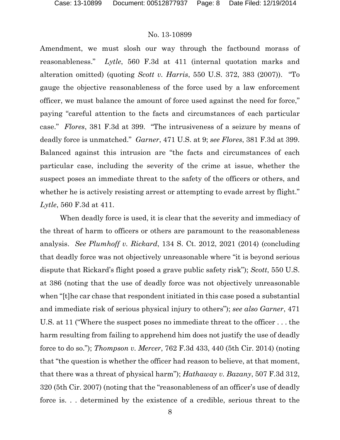Amendment, we must slosh our way through the factbound morass of reasonableness." *Lytle*, 560 F.3d at 411 (internal quotation marks and alteration omitted) (quoting *Scott v. Harris*, 550 U.S. 372, 383 (2007)). "To gauge the objective reasonableness of the force used by a law enforcement officer, we must balance the amount of force used against the need for force," paying "careful attention to the facts and circumstances of each particular case." *Flores*, 381 F.3d at 399. "The intrusiveness of a seizure by means of deadly force is unmatched." *Garner*, 471 U.S. at 9; *see Flores*, 381 F.3d at 399. Balanced against this intrusion are "the facts and circumstances of each particular case, including the severity of the crime at issue, whether the suspect poses an immediate threat to the safety of the officers or others, and whether he is actively resisting arrest or attempting to evade arrest by flight." *Lytle*, 560 F.3d at 411.

When deadly force is used, it is clear that the severity and immediacy of the threat of harm to officers or others are paramount to the reasonableness analysis. *See Plumhoff v. Rickard*, 134 S. Ct. 2012, 2021 (2014) (concluding that deadly force was not objectively unreasonable where "it is beyond serious dispute that Rickard's flight posed a grave public safety risk"); *Scott*, 550 U.S. at 386 (noting that the use of deadly force was not objectively unreasonable when "[t]he car chase that respondent initiated in this case posed a substantial and immediate risk of serious physical injury to others"); *see also Garner*, 471 U.S. at 11 ("Where the suspect poses no immediate threat to the officer . . . the harm resulting from failing to apprehend him does not justify the use of deadly force to do so."); *Thompson v. Mercer*, 762 F.3d 433, 440 (5th Cir. 2014) (noting that "the question is whether the officer had reason to believe, at that moment, that there was a threat of physical harm"); *Hathaway v. Bazany*, 507 F.3d 312, 320 (5th Cir. 2007) (noting that the "reasonableness of an officer's use of deadly force is. . . determined by the existence of a credible, serious threat to the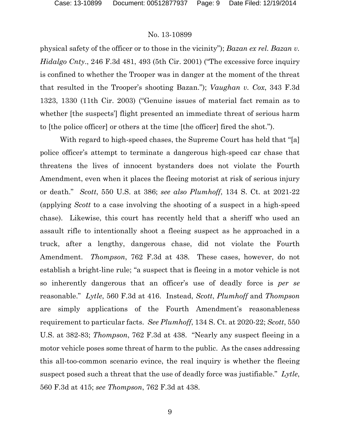physical safety of the officer or to those in the vicinity"); *Bazan ex rel. Bazan v. Hidalgo Cnty*., 246 F.3d 481, 493 (5th Cir. 2001) ("The excessive force inquiry is confined to whether the Trooper was in danger at the moment of the threat that resulted in the Trooper's shooting Bazan."); *Vaughan v. Cox*, 343 F.3d 1323, 1330 (11th Cir. 2003) ("Genuine issues of material fact remain as to whether [the suspects'] flight presented an immediate threat of serious harm to [the police officer] or others at the time [the officer] fired the shot.").

With regard to high-speed chases, the Supreme Court has held that "[a] police officer's attempt to terminate a dangerous high-speed car chase that threatens the lives of innocent bystanders does not violate the Fourth Amendment, even when it places the fleeing motorist at risk of serious injury or death." *Scott*, 550 U.S. at 386; *see also Plumhoff*, 134 S. Ct. at 2021-22 (applying *Scott* to a case involving the shooting of a suspect in a high-speed chase). Likewise, this court has recently held that a sheriff who used an assault rifle to intentionally shoot a fleeing suspect as he approached in a truck, after a lengthy, dangerous chase, did not violate the Fourth Amendment. *Thompson*, 762 F.3d at 438. These cases, however, do not establish a bright-line rule; "a suspect that is fleeing in a motor vehicle is not so inherently dangerous that an officer's use of deadly force is *per se* reasonable." *Lytle*, 560 F.3d at 416. Instead, *Scott*, *Plumhoff* and *Thompson*  are simply applications of the Fourth Amendment's reasonableness requirement to particular facts. *See Plumhoff*, 134 S. Ct. at 2020-22; *Scott*, 550 U.S. at 382-83; *Thompson*, 762 F.3d at 438. "Nearly any suspect fleeing in a motor vehicle poses some threat of harm to the public. As the cases addressing this all-too-common scenario evince, the real inquiry is whether the fleeing suspect posed such a threat that the use of deadly force was justifiable." *Lytle*, 560 F.3d at 415; *see Thompson*, 762 F.3d at 438.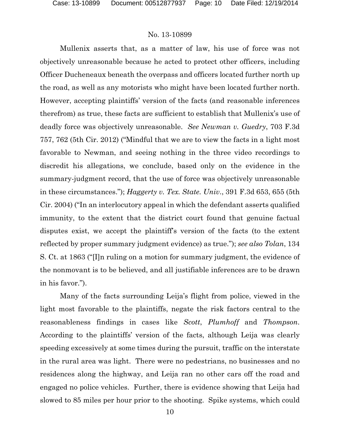Mullenix asserts that, as a matter of law, his use of force was not objectively unreasonable because he acted to protect other officers, including Officer Ducheneaux beneath the overpass and officers located further north up the road, as well as any motorists who might have been located further north. However, accepting plaintiffs' version of the facts (and reasonable inferences therefrom) as true, these facts are sufficient to establish that Mullenix's use of deadly force was objectively unreasonable. *See Newman v. Guedry*, 703 F.3d 757, 762 (5th Cir. 2012) ("Mindful that we are to view the facts in a light most favorable to Newman, and seeing nothing in the three video recordings to discredit his allegations, we conclude, based only on the evidence in the summary-judgment record, that the use of force was objectively unreasonable in these circumstances."); *Haggerty v. Tex. State. Univ*., 391 F.3d 653, 655 (5th Cir. 2004) ("In an interlocutory appeal in which the defendant asserts qualified immunity, to the extent that the district court found that genuine factual disputes exist, we accept the plaintiff's version of the facts (to the extent reflected by proper summary judgment evidence) as true."); *see also Tolan*, 134 S. Ct. at 1863 ("[I]n ruling on a motion for summary judgment, the evidence of the nonmovant is to be believed, and all justifiable inferences are to be drawn in his favor.").

Many of the facts surrounding Leija's flight from police, viewed in the light most favorable to the plaintiffs, negate the risk factors central to the reasonableness findings in cases like *Scott*, *Plumhoff* and *Thompson*. According to the plaintiffs' version of the facts, although Leija was clearly speeding excessively at some times during the pursuit, traffic on the interstate in the rural area was light. There were no pedestrians, no businesses and no residences along the highway, and Leija ran no other cars off the road and engaged no police vehicles. Further, there is evidence showing that Leija had slowed to 85 miles per hour prior to the shooting. Spike systems, which could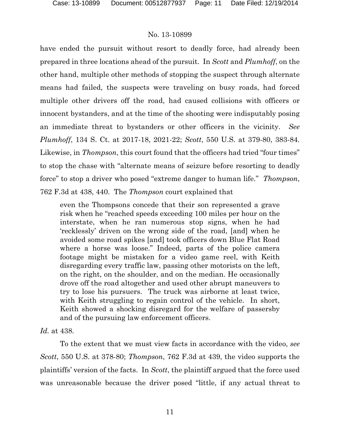have ended the pursuit without resort to deadly force, had already been prepared in three locations ahead of the pursuit. In *Scott* and *Plumhoff*, on the other hand, multiple other methods of stopping the suspect through alternate means had failed, the suspects were traveling on busy roads, had forced multiple other drivers off the road, had caused collisions with officers or innocent bystanders, and at the time of the shooting were indisputably posing an immediate threat to bystanders or other officers in the vicinity. *See Plumhoff*, 134 S. Ct. at 2017-18, 2021-22; *Scott*, 550 U.S. at 379-80, 383-84. Likewise, in *Thompson*, this court found that the officers had tried "four times" to stop the chase with "alternate means of seizure before resorting to deadly force" to stop a driver who posed "extreme danger to human life." *Thompson*, 762 F.3d at 438, 440. The *Thompson* court explained that

even the Thompsons concede that their son represented a grave risk when he "reached speeds exceeding 100 miles per hour on the interstate, when he ran numerous stop signs, when he had 'recklessly' driven on the wrong side of the road, [and] when he avoided some road spikes [and] took officers down Blue Flat Road where a horse was loose." Indeed, parts of the police camera footage might be mistaken for a video game reel, with Keith disregarding every traffic law, passing other motorists on the left, on the right, on the shoulder, and on the median. He occasionally drove off the road altogether and used other abrupt maneuvers to try to lose his pursuers. The truck was airborne at least twice, with Keith struggling to regain control of the vehicle. In short, Keith showed a shocking disregard for the welfare of passersby and of the pursuing law enforcement officers.

*Id.* at 438.

To the extent that we must view facts in accordance with the video, *see Scott*, 550 U.S. at 378-80; *Thompson*, 762 F.3d at 439, the video supports the plaintiffs' version of the facts. In *Scott*, the plaintiff argued that the force used was unreasonable because the driver posed "little, if any actual threat to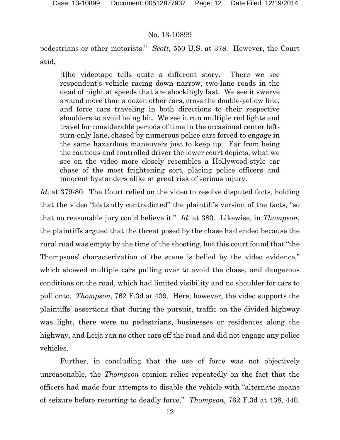pedestrians or other motorists." *Scott*, 550 U.S. at 378. However, the Court said,

[t]he videotape tells quite a different story. There we see respondent's vehicle racing down narrow, two-lane roads in the dead of night at speeds that are shockingly fast. We see it swerve around more than a dozen other cars, cross the double-yellow line, and force cars traveling in both directions to their respective shoulders to avoid being hit. We see it run multiple red lights and travel for considerable periods of time in the occasional center leftturn-only lane, chased by numerous police cars forced to engage in the same hazardous maneuvers just to keep up. Far from being the cautious and controlled driver the lower court depicts, what we see on the video more closely resembles a Hollywood-style car chase of the most frightening sort, placing police officers and innocent bystanders alike at great risk of serious injury.

Id. at 379-80. The Court relied on the video to resolve disputed facts, holding that the video "blatantly contradicted" the plaintiff's version of the facts, "so that no reasonable jury could believe it." *Id*. at 380. Likewise, in *Thompson*, the plaintiffs argued that the threat posed by the chase had ended because the rural road was empty by the time of the shooting, but this court found that "the Thompsons' characterization of the scene is belied by the video evidence," which showed multiple cars pulling over to avoid the chase, and dangerous conditions on the road, which had limited visibility and no shoulder for cars to pull onto. *Thompson*, 762 F.3d at 439. Here, however, the video supports the plaintiffs' assertions that during the pursuit, traffic on the divided highway was light, there were no pedestrians, businesses or residences along the highway, and Leija ran no other cars off the road and did not engage any police vehicles.

Further, in concluding that the use of force was not objectively unreasonable, the *Thompson* opinion relies repeatedly on the fact that the officers had made four attempts to disable the vehicle with "alternate means of seizure before resorting to deadly force." *Thompson*, 762 F.3d at 438, 440.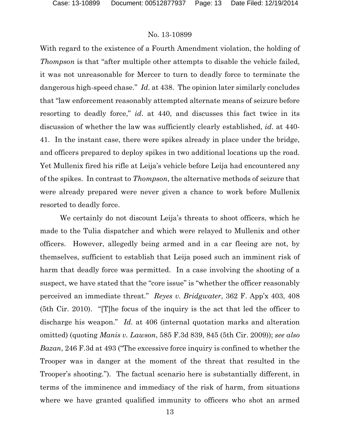With regard to the existence of a Fourth Amendment violation, the holding of *Thompson* is that "after multiple other attempts to disable the vehicle failed, it was not unreasonable for Mercer to turn to deadly force to terminate the dangerous high-speed chase." *Id*. at 438. The opinion later similarly concludes that "law enforcement reasonably attempted alternate means of seizure before resorting to deadly force," *id*. at 440, and discusses this fact twice in its discussion of whether the law was sufficiently clearly established, *id*. at 440- 41. In the instant case, there were spikes already in place under the bridge, and officers prepared to deploy spikes in two additional locations up the road. Yet Mullenix fired his rifle at Leija's vehicle before Leija had encountered any of the spikes. In contrast to *Thompson*, the alternative methods of seizure that were already prepared were never given a chance to work before Mullenix resorted to deadly force.

We certainly do not discount Leija's threats to shoot officers, which he made to the Tulia dispatcher and which were relayed to Mullenix and other officers. However, allegedly being armed and in a car fleeing are not, by themselves, sufficient to establish that Leija posed such an imminent risk of harm that deadly force was permitted. In a case involving the shooting of a suspect, we have stated that the "core issue" is "whether the officer reasonably perceived an immediate threat." *Reyes v. Bridgwater*, 362 F. App'x 403, 408 (5th Cir. 2010). "[T]he focus of the inquiry is the act that led the officer to discharge his weapon." *Id.* at 406 (internal quotation marks and alteration omitted) (quoting *Manis v. Lawson*, 585 F.3d 839, 845 (5th Cir. 2009)); *see also Bazan*, 246 F.3d at 493 ("The excessive force inquiry is confined to whether the Trooper was in danger at the moment of the threat that resulted in the Trooper's shooting."). The factual scenario here is substantially different, in terms of the imminence and immediacy of the risk of harm, from situations where we have granted qualified immunity to officers who shot an armed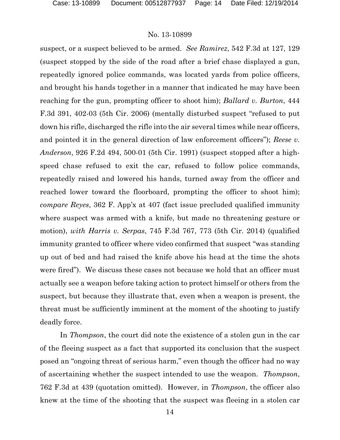suspect, or a suspect believed to be armed. *See Ramirez*, 542 F.3d at 127, 129 (suspect stopped by the side of the road after a brief chase displayed a gun, repeatedly ignored police commands, was located yards from police officers, and brought his hands together in a manner that indicated he may have been reaching for the gun, prompting officer to shoot him); *Ballard v. Burton*, 444 F.3d 391, 402-03 (5th Cir. 2006) (mentally disturbed suspect "refused to put down his rifle, discharged the rifle into the air several times while near officers, and pointed it in the general direction of law enforcement officers"); *Reese v. Anderson*, 926 F.2d 494, 500-01 (5th Cir. 1991) (suspect stopped after a highspeed chase refused to exit the car, refused to follow police commands, repeatedly raised and lowered his hands, turned away from the officer and reached lower toward the floorboard, prompting the officer to shoot him); *compare Reyes*, 362 F. App'x at 407 (fact issue precluded qualified immunity where suspect was armed with a knife, but made no threatening gesture or motion), *with Harris v. Serpas*, 745 F.3d 767, 773 (5th Cir. 2014) (qualified immunity granted to officer where video confirmed that suspect "was standing up out of bed and had raised the knife above his head at the time the shots were fired"). We discuss these cases not because we hold that an officer must actually see a weapon before taking action to protect himself or others from the suspect, but because they illustrate that, even when a weapon is present, the threat must be sufficiently imminent at the moment of the shooting to justify deadly force.

In *Thompson*, the court did note the existence of a stolen gun in the car of the fleeing suspect as a fact that supported its conclusion that the suspect posed an "ongoing threat of serious harm," even though the officer had no way of ascertaining whether the suspect intended to use the weapon. *Thompson*, 762 F.3d at 439 (quotation omitted). However, in *Thompson*, the officer also knew at the time of the shooting that the suspect was fleeing in a stolen car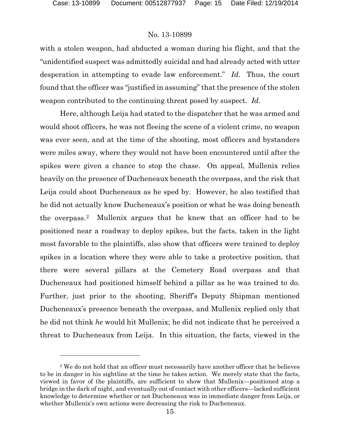$\overline{a}$ 

# No. 13-10899

with a stolen weapon, had abducted a woman during his flight, and that the "unidentified suspect was admittedly suicidal and had already acted with utter desperation in attempting to evade law enforcement." *Id*. Thus, the court found that the officer was "justified in assuming" that the presence of the stolen weapon contributed to the continuing threat posed by suspect. *Id*.

Here, although Leija had stated to the dispatcher that he was armed and would shoot officers, he was not fleeing the scene of a violent crime, no weapon was ever seen, and at the time of the shooting, most officers and bystanders were miles away, where they would not have been encountered until after the spikes were given a chance to stop the chase. On appeal, Mullenix relies heavily on the presence of Ducheneaux beneath the overpass, and the risk that Leija could shoot Ducheneaux as he sped by. However, he also testified that he did not actually know Ducheneaux's position or what he was doing beneath the overpass.[2](#page-14-0) Mullenix argues that he knew that an officer had to be positioned near a roadway to deploy spikes, but the facts, taken in the light most favorable to the plaintiffs, also show that officers were trained to deploy spikes in a location where they were able to take a protective position, that there were several pillars at the Cemetery Road overpass and that Ducheneaux had positioned himself behind a pillar as he was trained to do. Further, just prior to the shooting, Sheriff's Deputy Shipman mentioned Ducheneaux's presence beneath the overpass, and Mullenix replied only that he did not think *he* would hit Mullenix; he did not indicate that he perceived a threat to Ducheneaux from Leija. In this situation, the facts, viewed in the

<span id="page-14-0"></span><sup>&</sup>lt;sup>2</sup> We do not hold that an officer must necessarily have another officer that he believes to be in danger in his sightline at the time he takes action. We merely state that the facts, viewed in favor of the plaintiffs, are sufficient to show that Mullenix—positioned atop a bridge in the dark of night, and eventually out of contact with other officers—lacked sufficient knowledge to determine whether or not Ducheneaux was in immediate danger from Leija, or whether Mullenix's own actions were decreasing the risk to Ducheneaux.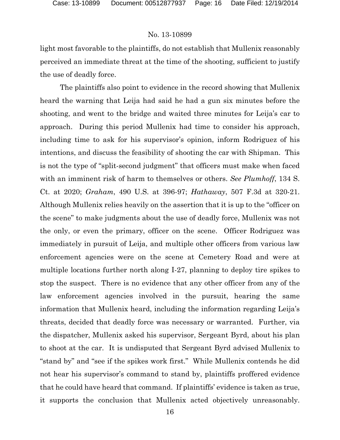light most favorable to the plaintiffs, do not establish that Mullenix reasonably perceived an immediate threat at the time of the shooting, sufficient to justify the use of deadly force.

The plaintiffs also point to evidence in the record showing that Mullenix heard the warning that Leija had said he had a gun six minutes before the shooting, and went to the bridge and waited three minutes for Leija's car to approach. During this period Mullenix had time to consider his approach, including time to ask for his supervisor's opinion, inform Rodriguez of his intentions, and discuss the feasibility of shooting the car with Shipman. This is not the type of "split-second judgment" that officers must make when faced with an imminent risk of harm to themselves or others. *See Plumhoff*, 134 S. Ct. at 2020; *Graham*, 490 U.S. at 396-97; *Hathaway*, 507 F.3d at 320-21. Although Mullenix relies heavily on the assertion that it is up to the "officer on the scene" to make judgments about the use of deadly force, Mullenix was not the only, or even the primary, officer on the scene. Officer Rodriguez was immediately in pursuit of Leija, and multiple other officers from various law enforcement agencies were on the scene at Cemetery Road and were at multiple locations further north along I-27, planning to deploy tire spikes to stop the suspect. There is no evidence that any other officer from any of the law enforcement agencies involved in the pursuit, hearing the same information that Mullenix heard, including the information regarding Leija's threats, decided that deadly force was necessary or warranted. Further, via the dispatcher, Mullenix asked his supervisor, Sergeant Byrd, about his plan to shoot at the car. It is undisputed that Sergeant Byrd advised Mullenix to "stand by" and "see if the spikes work first." While Mullenix contends he did not hear his supervisor's command to stand by, plaintiffs proffered evidence that he could have heard that command. If plaintiffs' evidence is taken as true, it supports the conclusion that Mullenix acted objectively unreasonably.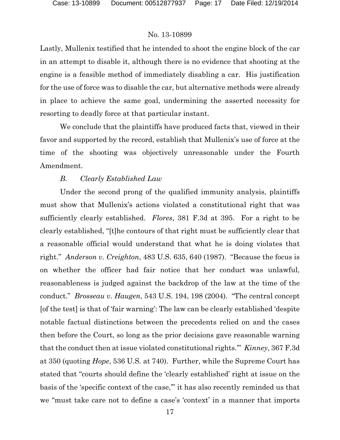Lastly, Mullenix testified that he intended to shoot the engine block of the car in an attempt to disable it, although there is no evidence that shooting at the engine is a feasible method of immediately disabling a car. His justification for the use of force was to disable the car, but alternative methods were already in place to achieve the same goal, undermining the asserted necessity for resorting to deadly force at that particular instant.

We conclude that the plaintiffs have produced facts that, viewed in their favor and supported by the record, establish that Mullenix's use of force at the time of the shooting was objectively unreasonable under the Fourth Amendment.

# *B. Clearly Established Law*

Under the second prong of the qualified immunity analysis, plaintiffs must show that Mullenix's actions violated a constitutional right that was sufficiently clearly established. *Flores*, 381 F.3d at 395. For a right to be clearly established, "[t]he contours of that right must be sufficiently clear that a reasonable official would understand that what he is doing violates that right." *Anderson v. Creighton*, 483 U.S. 635, 640 (1987). "Because the focus is on whether the officer had fair notice that her conduct was unlawful, reasonableness is judged against the backdrop of the law at the time of the conduct." *Brosseau v. Haugen*, 543 U.S. 194, 198 (2004). "The central concept [of the test] is that of 'fair warning': The law can be clearly established 'despite notable factual distinctions between the precedents relied on and the cases then before the Court, so long as the prior decisions gave reasonable warning that the conduct then at issue violated constitutional rights.'" *Kinney*, 367 F.3d at 350 (quoting *Hope*, 536 U.S. at 740). Further, while the Supreme Court has stated that "courts should define the 'clearly established' right at issue on the basis of the 'specific context of the case,'" it has also recently reminded us that we "must take care not to define a case's 'context' in a manner that imports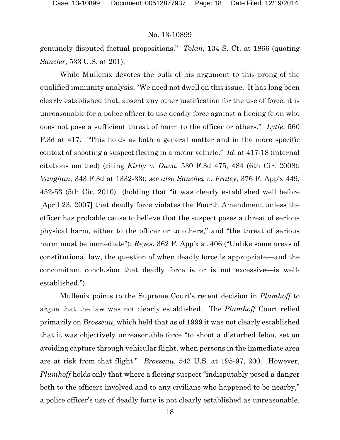genuinely disputed factual propositions." *Tolan*, 134 S. Ct. at 1866 (quoting *Saucier*, 533 U.S. at 201).

While Mullenix devotes the bulk of his argument to this prong of the qualified immunity analysis, "We need not dwell on this issue. It has long been clearly established that, absent any other justification for the use of force, it is unreasonable for a police officer to use deadly force against a fleeing felon who does not pose a sufficient threat of harm to the officer or others." *Lytle*, 560 F.3d at 417. "This holds as both a general matter and in the more specific context of shooting a suspect fleeing in a motor vehicle." *Id*. at 417-18 (internal citations omitted) (citing *Kirby v. Duva*, 530 F.3d 475, 484 (6th Cir. 2008); *Vaughan,* 343 F.3d at 1332-33); *see also Sanchez v. Fraley*, 376 F. App'x 449, 452-53 (5th Cir. 2010) (holding that "it was clearly established well before [April 23, 2007] that deadly force violates the Fourth Amendment unless the officer has probable cause to believe that the suspect poses a threat of serious physical harm, either to the officer or to others," and "the threat of serious harm must be immediate"); *Reyes*, 362 F. App'x at 406 ("Unlike some areas of constitutional law, the question of when deadly force is appropriate—and the concomitant conclusion that deadly force is or is not excessive—is wellestablished.").

Mullenix points to the Supreme Court's recent decision in *Plumhoff* to argue that the law was not clearly established. The *Plumhoff* Court relied primarily on *Brosseau*, which held that as of 1999 it was not clearly established that it was objectively unreasonable force "to shoot a disturbed felon, set on avoiding capture through vehicular flight, when persons in the immediate area are at risk from that flight." *Brosseau,* 543 U.S. at 195-97, 200. However, *Plumhoff* holds only that where a fleeing suspect "indisputably posed a danger both to the officers involved and to any civilians who happened to be nearby," a police officer's use of deadly force is not clearly established as unreasonable.